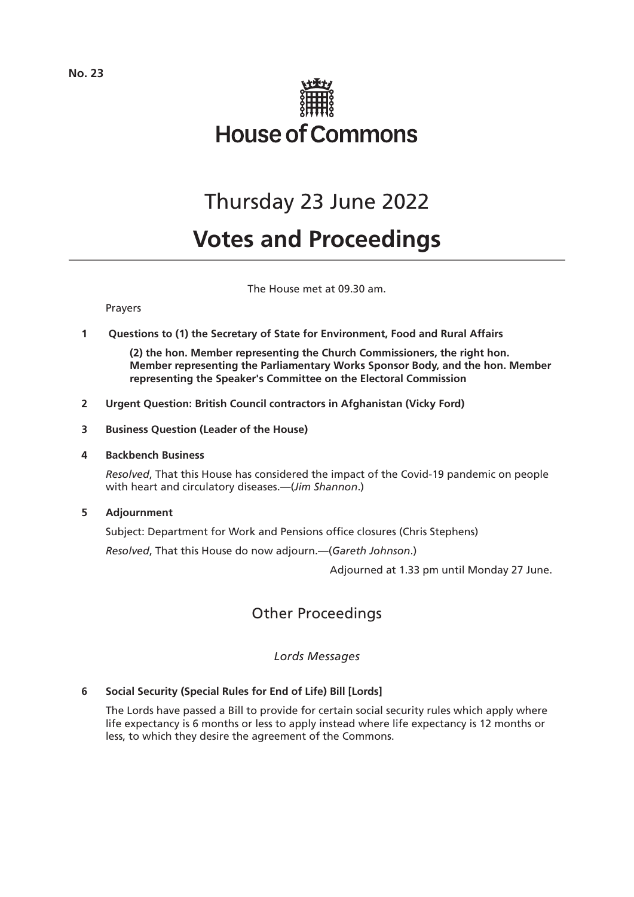

# Thursday 23 June 2022

# **Votes and Proceedings**

The House met at 09.30 am.

Prayers

**1 Questions to (1) the Secretary of State for Environment, Food and Rural Affairs**

**(2) the hon. Member representing the Church Commissioners, the right hon. Member representing the Parliamentary Works Sponsor Body, and the hon. Member representing the Speaker's Committee on the Electoral Commission**

- **2 Urgent Question: British Council contractors in Afghanistan (Vicky Ford)**
- **3 Business Question (Leader of the House)**
- **4 Backbench Business**

*Resolved*, That this House has considered the impact of the Covid-19 pandemic on people with heart and circulatory diseases.—(*Jim Shannon*.)

**5 Adjournment**

Subject: Department for Work and Pensions office closures (Chris Stephens)

*Resolved*, That this House do now adjourn.—(*Gareth Johnson*.)

Adjourned at 1.33 pm until Monday 27 June.

# Other Proceedings

*Lords Messages*

# **6 Social Security (Special Rules for End of Life) Bill [Lords]**

The Lords have passed a Bill to provide for certain social security rules which apply where life expectancy is 6 months or less to apply instead where life expectancy is 12 months or less, to which they desire the agreement of the Commons.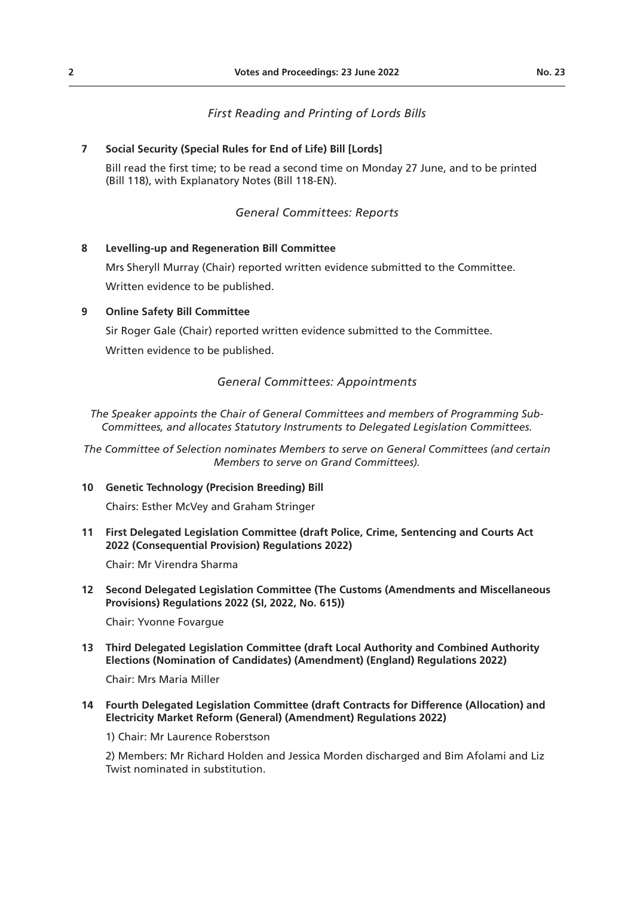## **7 Social Security (Special Rules for End of Life) Bill [Lords]**

Bill read the first time; to be read a second time on Monday 27 June, and to be printed (Bill 118), with Explanatory Notes (Bill 118-EN).

# *General Committees: Reports*

### **8 Levelling-up and Regeneration Bill Committee**

Mrs Sheryll Murray (Chair) reported written evidence submitted to the Committee. Written evidence to be published.

### **9 Online Safety Bill Committee**

Sir Roger Gale (Chair) reported written evidence submitted to the Committee. Written evidence to be published.

# *General Committees: Appointments*

*The Speaker appoints the Chair of General Committees and members of Programming Sub-Committees, and allocates Statutory Instruments to Delegated Legislation Committees.*

*The Committee of Selection nominates Members to serve on General Committees (and certain Members to serve on Grand Committees).*

#### **10 Genetic Technology (Precision Breeding) Bill**

Chairs: Esther McVey and Graham Stringer

**11 First Delegated Legislation Committee (draft Police, Crime, Sentencing and Courts Act 2022 (Consequential Provision) Regulations 2022)**

Chair: Mr Virendra Sharma

**12 Second Delegated Legislation Committee (The Customs (Amendments and Miscellaneous Provisions) Regulations 2022 (SI, 2022, No. 615))**

Chair: Yvonne Fovargue

**13 Third Delegated Legislation Committee (draft Local Authority and Combined Authority Elections (Nomination of Candidates) (Amendment) (England) Regulations 2022)**

Chair: Mrs Maria Miller

### **14 Fourth Delegated Legislation Committee (draft Contracts for Difference (Allocation) and Electricity Market Reform (General) (Amendment) Regulations 2022)**

1) Chair: Mr Laurence Roberstson

2) Members: Mr Richard Holden and Jessica Morden discharged and Bim Afolami and Liz Twist nominated in substitution.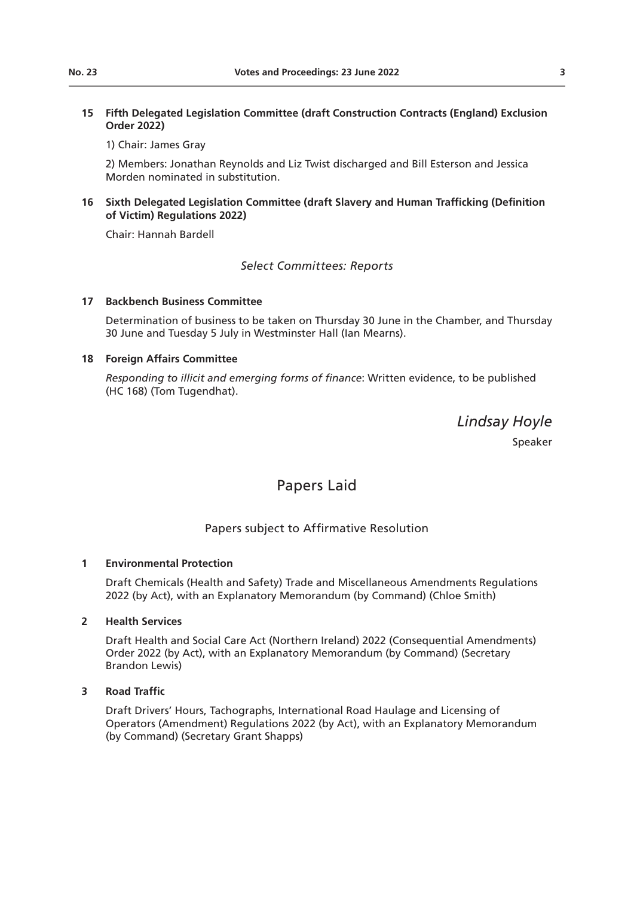# **15 Fifth Delegated Legislation Committee (draft Construction Contracts (England) Exclusion Order 2022)**

1) Chair: James Gray

2) Members: Jonathan Reynolds and Liz Twist discharged and Bill Esterson and Jessica Morden nominated in substitution.

## **16 Sixth Delegated Legislation Committee (draft Slavery and Human Trafficking (Definition of Victim) Regulations 2022)**

Chair: Hannah Bardell

# *Select Committees: Reports*

### **17 Backbench Business Committee**

Determination of business to be taken on Thursday 30 June in the Chamber, and Thursday 30 June and Tuesday 5 July in Westminster Hall (Ian Mearns).

# **18 Foreign Affairs Committee**

*Responding to illicit and emerging forms of finance*: Written evidence, to be published (HC 168) (Tom Tugendhat).

*Lindsay Hoyle*

Speaker

# Papers Laid

# Papers subject to Affirmative Resolution

# **1 Environmental Protection**

Draft Chemicals (Health and Safety) Trade and Miscellaneous Amendments Regulations 2022 (by Act), with an Explanatory Memorandum (by Command) (Chloe Smith)

# **2 Health Services**

Draft Health and Social Care Act (Northern Ireland) 2022 (Consequential Amendments) Order 2022 (by Act), with an Explanatory Memorandum (by Command) (Secretary Brandon Lewis)

# **3 Road Traffic**

Draft Drivers' Hours, Tachographs, International Road Haulage and Licensing of Operators (Amendment) Regulations 2022 (by Act), with an Explanatory Memorandum (by Command) (Secretary Grant Shapps)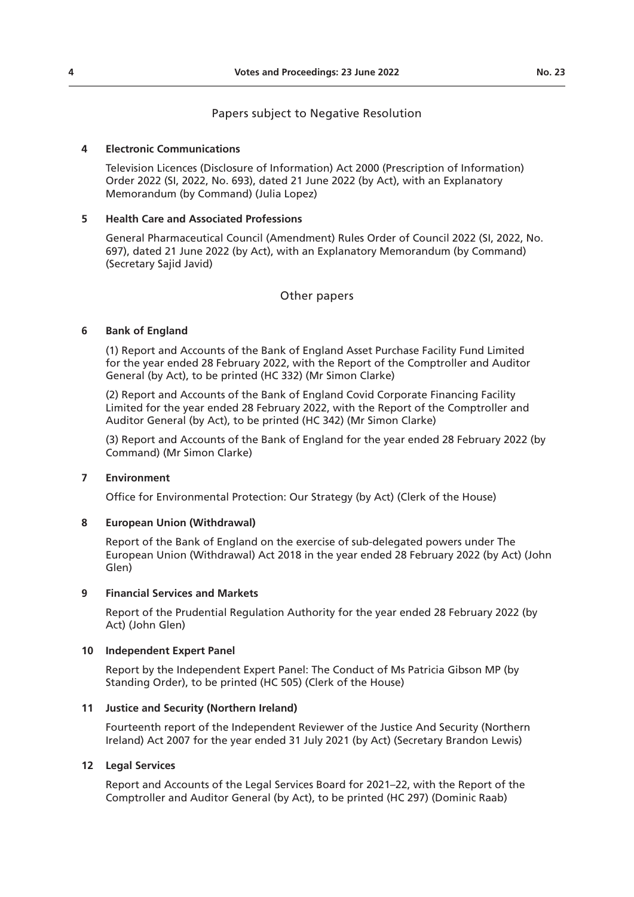#### **4 Electronic Communications**

Television Licences (Disclosure of Information) Act 2000 (Prescription of Information) Order 2022 (SI, 2022, No. 693), dated 21 June 2022 (by Act), with an Explanatory Memorandum (by Command) (Julia Lopez)

### **5 Health Care and Associated Professions**

General Pharmaceutical Council (Amendment) Rules Order of Council 2022 (SI, 2022, No. 697), dated 21 June 2022 (by Act), with an Explanatory Memorandum (by Command) (Secretary Sajid Javid)

### Other papers

### **6 Bank of England**

(1) Report and Accounts of the Bank of England Asset Purchase Facility Fund Limited for the year ended 28 February 2022, with the Report of the Comptroller and Auditor General (by Act), to be printed (HC 332) (Mr Simon Clarke)

(2) Report and Accounts of the Bank of England Covid Corporate Financing Facility Limited for the year ended 28 February 2022, with the Report of the Comptroller and Auditor General (by Act), to be printed (HC 342) (Mr Simon Clarke)

(3) Report and Accounts of the Bank of England for the year ended 28 February 2022 (by Command) (Mr Simon Clarke)

#### **7 Environment**

Office for Environmental Protection: Our Strategy (by Act) (Clerk of the House)

#### **8 European Union (Withdrawal)**

Report of the Bank of England on the exercise of sub-delegated powers under The European Union (Withdrawal) Act 2018 in the year ended 28 February 2022 (by Act) (John Glen)

#### **9 Financial Services and Markets**

Report of the Prudential Regulation Authority for the year ended 28 February 2022 (by Act) (John Glen)

#### **10 Independent Expert Panel**

Report by the Independent Expert Panel: The Conduct of Ms Patricia Gibson MP (by Standing Order), to be printed (HC 505) (Clerk of the House)

#### **11 Justice and Security (Northern Ireland)**

Fourteenth report of the Independent Reviewer of the Justice And Security (Northern Ireland) Act 2007 for the year ended 31 July 2021 (by Act) (Secretary Brandon Lewis)

#### **12 Legal Services**

Report and Accounts of the Legal Services Board for 2021–22, with the Report of the Comptroller and Auditor General (by Act), to be printed (HC 297) (Dominic Raab)